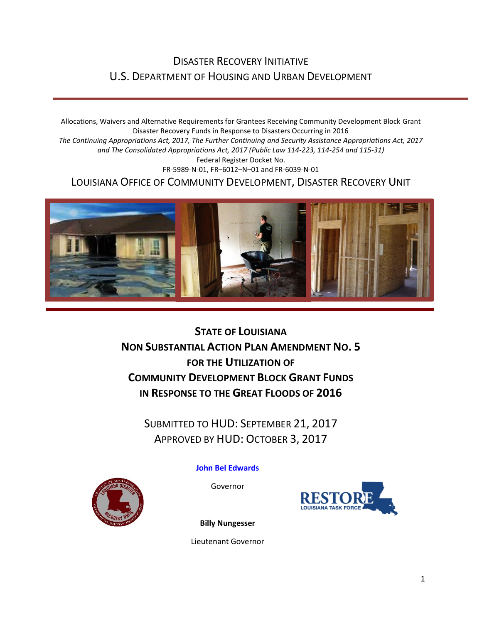## DISASTER RECOVERY INITIATIVE U.S. DEPARTMENT OF HOUSING AND URBAN DEVELOPMENT

Allocations, Waivers and Alternative Requirements for Grantees Receiving Community Development Block Grant Disaster Recovery Funds in Response to Disasters Occurring in 2016 *The Continuing Appropriations Act, 2017, The Further Continuing and Security Assistance Appropriations Act, 2017 and The Consolidated Appropriations Act, 2017 (Public Law 114-223, 114-254 and 115-31)* Federal Register Docket No. FR-5989-N-01, FR–6012–N–01 and FR-6039-N-01 LOUISIANA OFFICE OF COMMUNITY DEVELOPMENT, DISASTER RECOVERY UNIT



**STATE OF LOUISIANA NON SUBSTANTIAL ACTION PLAN AMENDMENT NO. 5 FOR THE UTILIZATION OF COMMUNITY DEVELOPMENT BLOCK GRANT FUNDS IN RESPONSE TO THE GREAT FLOODS OF 2016**

SUBMITTED TO HUD: SEPTEMBER 21, 2017 APPROVED BY HUD: OCTOBER 3, 2017

**[John Bel Edwards](https://www.facebook.com/LouisianaGov/)**

Governor





**Billy Nungesser**

Lieutenant Governor